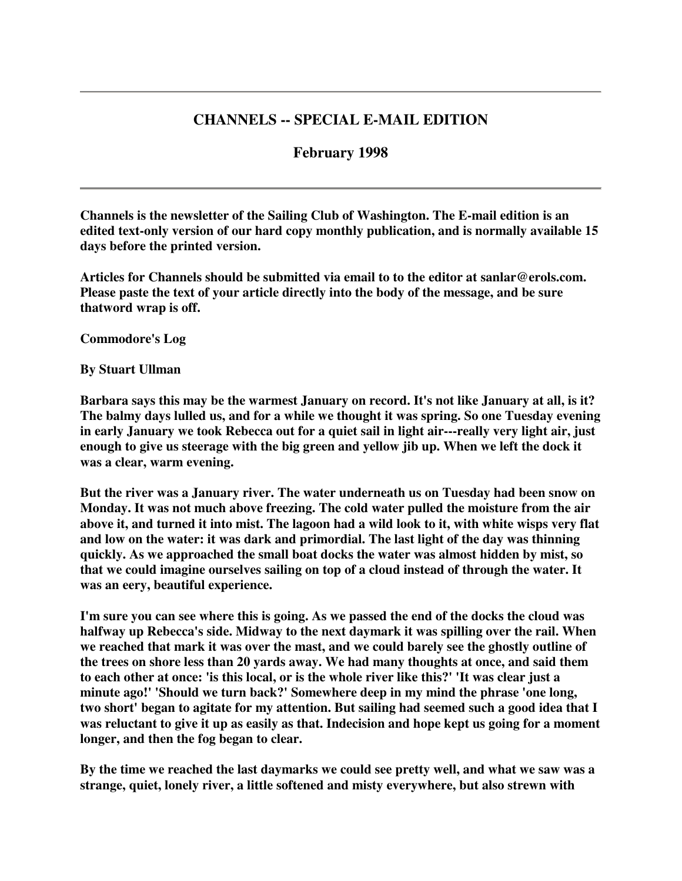# **CHANNELS -- SPECIAL E-MAIL EDITION**

## **February 1998**

**Channels is the newsletter of the Sailing Club of Washington. The E-mail edition is an edited text-only version of our hard copy monthly publication, and is normally available 15 days before the printed version.**

**Articles for Channels should be submitted via email to to the editor at sanlar@erols.com. Please paste the text of your article directly into the body of the message, and be sure thatword wrap is off.**

**Commodore's Log**

**By Stuart Ullman**

**Barbara says this may be the warmest January on record. It's not like January at all, is it? The balmy days lulled us, and for a while we thought it was spring. So one Tuesday evening in early January we took Rebecca out for a quiet sail in light air---really very light air, just enough to give us steerage with the big green and yellow jib up. When we left the dock it was a clear, warm evening.**

**But the river was a January river. The water underneath us on Tuesday had been snow on Monday. It was not much above freezing. The cold water pulled the moisture from the air** above it, and turned it into mist. The lagoon had a wild look to it, with white wisps very flat **and low on the water: it was dark and primordial. The last light of the day was thinning quickly. As we approached the small boat docks the water was almost hidden by mist, so that we could imagine ourselves sailing on top of a cloud instead of through the water. It was an eery, beautiful experience.**

I'm sure you can see where this is going. As we passed the end of the docks the cloud was **halfway up Rebecca's side. Midway to the next daymark it was spilling over the rail. When we reached that mark it was over the mast, and we could barely see the ghostly outline of the trees on shore less than 20 yards away. We had many thoughts at once, and said them** to each other at once: 'is this local, or is the whole river like this?' 'It was clear just a **minute ago!' 'Should we turn back?' Somewhere deep in my mind the phrase 'one long, two short' began to agitate for my attention. But sailing had seemed such a good idea that I** was reluctant to give it up as easily as that. Indecision and hope kept us going for a moment **longer, and then the fog began to clear.**

**By the time we reached the last daymarks we could see pretty well, and what we saw was a strange, quiet, lonely river, a little softened and misty everywhere, but also strewn with**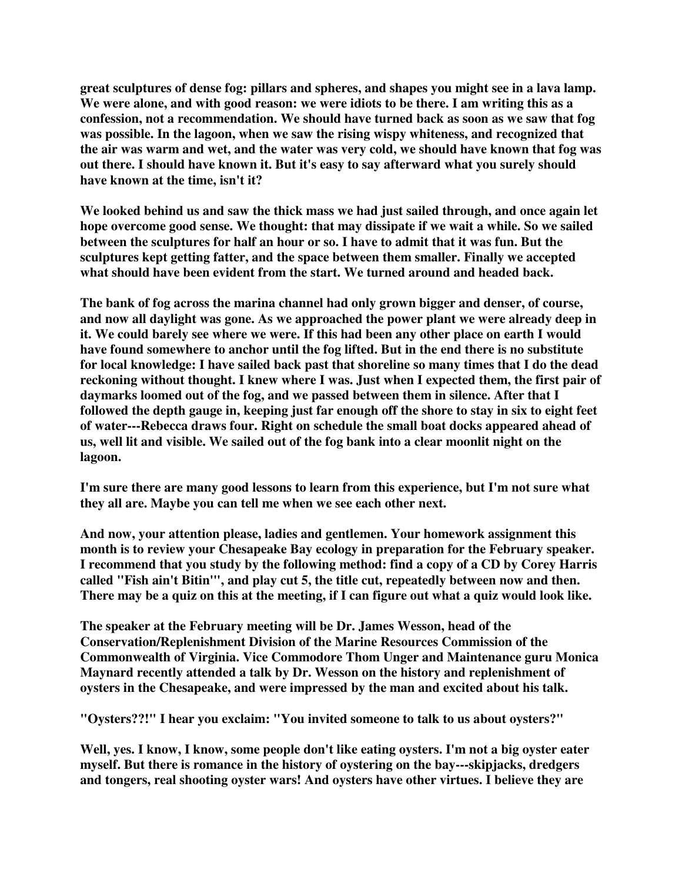**great sculptures of dense fog: pillars and spheres, and shapes you might see in a lava lamp. We were alone, and with good reason: we were idiots to be there. I am writing this as a confession, not a recommendation. We should have turned back as soon as we saw that fog was possible. In the lagoon, when we saw the rising wispy whiteness, and recognized that the air was warm and wet, and the water was very cold, we should have known that fog was out there. I should have known it. But it's easy to say afterward what you surely should have known at the time, isn't it?**

**We looked behind us and saw the thick mass we had just sailed through, and once again let hope overcome good sense. We thought: that may dissipate if we wait a while. So we sailed between the sculptures for half an hour or so. I have to admit that it was fun. But the sculptures kept getting fatter, and the space between them smaller. Finally we accepted what should have been evident from the start. We turned around and headed back.**

**The bank of fog across the marina channel had only grown bigger and denser, of course, and now all daylight was gone. As we approached the power plant we were already deep in it. We could barely see where we were. If this had been any other place on earth I would have found somewhere to anchor until the fog lifted. But in the end there is no substitute for local knowledge: I have sailed back past that shoreline so many times that I do the dead reckoning without thought. I knew where I was. Just when I expected them, the first pair of daymarks loomed out of the fog, and we passed between them in silence. After that I** followed the depth gauge in, keeping just far enough off the shore to stay in six to eight feet **of water---Rebecca draws four. Right on schedule the small boat docks appeared ahead of us, well lit and visible. We sailed out of the fog bank into a clear moonlit night on the lagoon.**

**I'm sure there are many good lessons to learn from this experience, but I'm not sure what they all are. Maybe you can tell me when we see each other next.**

**And now, your attention please, ladies and gentlemen. Your homework assignment this month is to review your Chesapeake Bay ecology in preparation for the February speaker. I recommend that you study by the following method: find a copy of a CD by Corey Harris called "Fish ain't Bitin'", and play cut 5, the title cut, repeatedly between now and then.** There may be a quiz on this at the meeting, if I can figure out what a quiz would look like.

**The speaker at the February meeting will be Dr. James Wesson, head of the Conservation/Replenishment Division of the Marine Resources Commission of the Commonwealth of Virginia. Vice Commodore Thom Unger and Maintenance guru Monica Maynard recently attended a talk by Dr. Wesson on the history and replenishment of oysters in the Chesapeake, and were impressed by the man and excited about his talk.**

**"Oysters??!" I hear you exclaim: "You invited someone to talk to us about oysters?"**

**Well, yes. I know, I know, some people don't like eating oysters. I'm not a big oyster eater myself. But there is romance in the history of oystering on the bay---skipjacks, dredgers and tongers, real shooting oyster wars! And oysters have other virtues. I believe they are**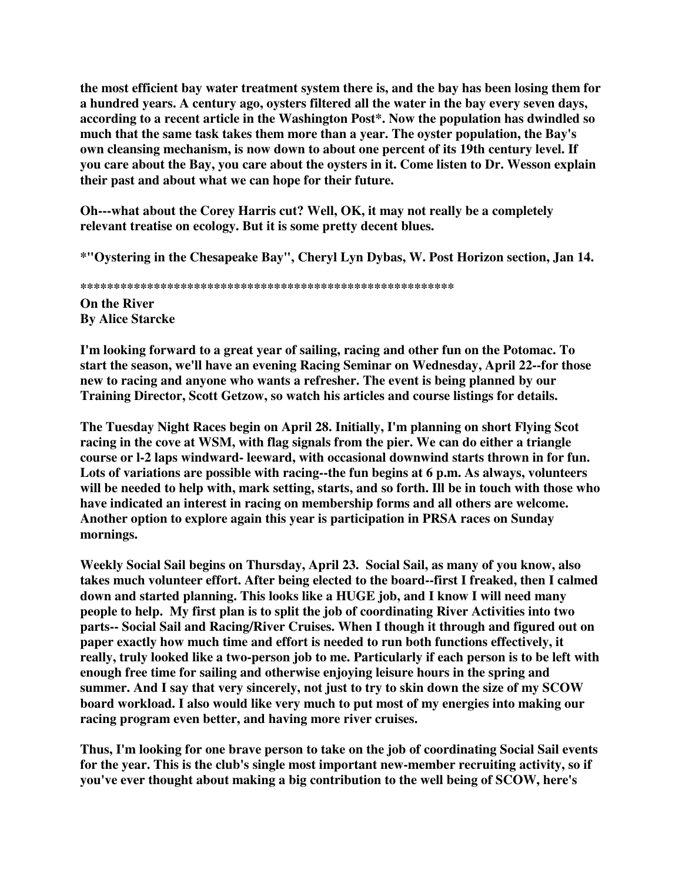**the most efficient bay water treatment system there is, and the bay has been losing them for a hundred years. A century ago, oysters filtered all the water in the bay every seven days, according to a recent article in the Washington Post\*. Now the population has dwindled so much that the same task takes them more than a year. The oyster population, the Bay's own cleansing mechanism, is now down to about one percent of its 19th century level. If you care about the Bay, you care about the oysters in it. Come listen to Dr. Wesson explain their past and about what we can hope for their future.**

**Oh---what about the Corey Harris cut? Well, OK, it may not really be a completely relevant treatise on ecology. But it is some pretty decent blues.**

**\*"Oystering in the Chesapeake Bay", Cheryl Lyn Dybas, W. Post Horizon section, Jan 14.**

**\*\*\*\*\*\*\*\*\*\*\*\*\*\*\*\*\*\*\*\*\*\*\*\*\*\*\*\*\*\*\*\*\*\*\*\*\*\*\*\*\*\*\*\*\*\*\*\*\*\*\*\*\*\*\*\* On the River By Alice Starcke**

**I'm looking forward to a great year of sailing, racing and other fun on the Potomac. To start the season, we'll have an evening Racing Seminar on Wednesday, April 22--for those new to racing and anyone who wants a refresher. The event is being planned by our Training Director, Scott Getzow, so watch his articles and course listings for details.**

**The Tuesday Night Races begin on April 28. Initially, I'm planning on short Flying Scot racing in the cove at WSM, with flag signals from the pier. We can do either a triangle course or l-2 laps windward- leeward, with occasional downwind starts thrown in for fun. Lots of variations are possible with racing--the fun begins at 6 p.m. As always, volunteers** will be needed to help with, mark setting, starts, and so forth. Ill be in touch with those who **have indicated an interest in racing on membership forms and all others are welcome. Another option to explore again this year is participation in PRSA races on Sunday mornings.**

**Weekly Social Sail begins on Thursday, April 23. Social Sail, as many of you know, also takes much volunteer effort. After being elected to the board--first I freaked, then I calmed down and started planning. This looks like a HUGE job, and I know I will need many people to help. My first plan is to split the job of coordinating River Activities into two parts-- Social Sail and Racing/River Cruises. When I though it through and figured out on paper exactly how much time and effort is needed to run both functions effectively, it really, truly looked like a two-person job to me. Particularly if each person is to be left with enough free time for sailing and otherwise enjoying leisure hours in the spring and summer. And I say that very sincerely, not just to try to skin down the size of my SCOW board workload. I also would like very much to put most of my energies into making our racing program even better, and having more river cruises.**

**Thus, I'm looking for one brave person to take on the job of coordinating Social Sail events for the year. This is the club's single most important new-member recruiting activity, so if you've ever thought about making a big contribution to the well being of SCOW, here's**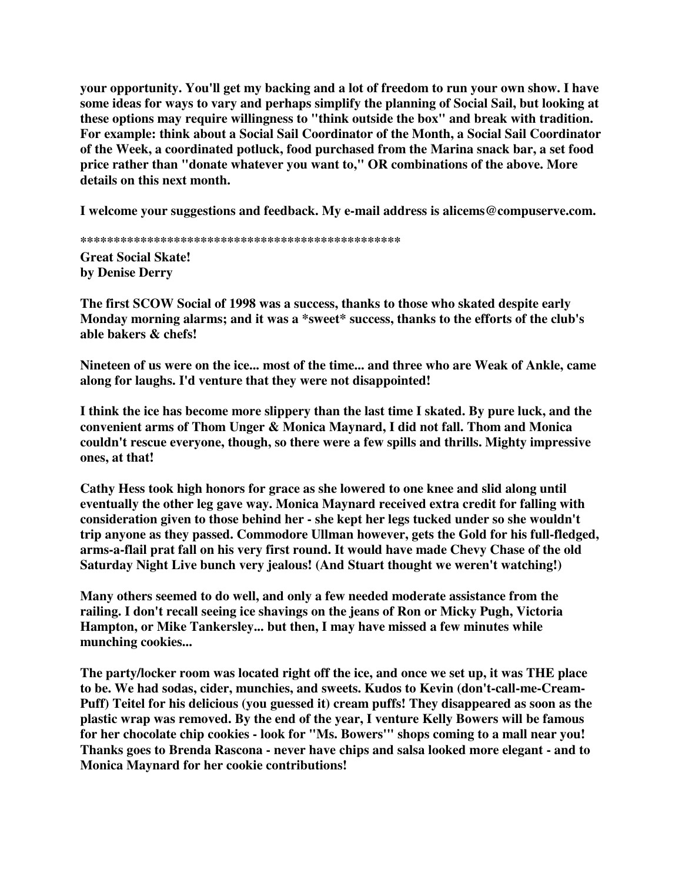**your opportunity. You'll get my backing and a lot of freedom to run your own show. I have some ideas for ways to vary and perhaps simplify the planning of Social Sail, but looking at these options may require willingness to "think outside the box" and break with tradition. For example: think about a Social Sail Coordinator of the Month, a Social Sail Coordinator of the Week, a coordinated potluck, food purchased from the Marina snack bar, a set food price rather than "donate whatever you want to," OR combinations of the above. More details on this next month.**

**I welcome your suggestions and feedback. My e-mail address is alicems@compuserve.com.**

**\*\*\*\*\*\*\*\*\*\*\*\*\*\*\*\*\*\*\*\*\*\*\*\*\*\*\*\*\*\*\*\*\*\*\*\*\*\*\*\*\*\*\*\*\*\*\*\***

**Great Social Skate! by Denise Derry**

**The first SCOW Social of 1998 was a success, thanks to those who skated despite early Monday morning alarms; and it was a \*sweet\* success, thanks to the efforts of the club's able bakers & chefs!**

**Nineteen of us were on the ice... most of the time... and three who are Weak of Ankle, came along for laughs. I'd venture that they were not disappointed!**

**I think the ice has become more slippery than the last time I skated. By pure luck, and the convenient arms of Thom Unger & Monica Maynard, I did not fall. Thom and Monica couldn't rescue everyone, though, so there were a few spills and thrills. Mighty impressive ones, at that!**

**Cathy Hess took high honors for grace as she lowered to one knee and slid along until eventually the other leg gave way. Monica Maynard received extra credit for falling with consideration given to those behind her - she kept her legs tucked under so she wouldn't trip anyone as they passed. Commodore Ullman however, gets the Gold for his full-fledged, arms-a-flail prat fall on his very first round. It would have made Chevy Chase of the old Saturday Night Live bunch very jealous! (And Stuart thought we weren't watching!)**

**Many others seemed to do well, and only a few needed moderate assistance from the railing. I don't recall seeing ice shavings on the jeans of Ron or Micky Pugh, Victoria Hampton, or Mike Tankersley... but then, I may have missed a few minutes while munching cookies...**

**The party/locker room was located right off the ice, and once we set up, it was THE place to be. We had sodas, cider, munchies, and sweets. Kudos to Kevin (don't-call-me-Cream-Puff) Teitel for his delicious (you guessed it) cream puffs! They disappeared as soon as the plastic wrap was removed. By the end of the year, I venture Kelly Bowers will be famous for her chocolate chip cookies - look for "Ms. Bowers'" shops coming to a mall near you! Thanks goes to Brenda Rascona - never have chips and salsa looked more elegant - and to Monica Maynard for her cookie contributions!**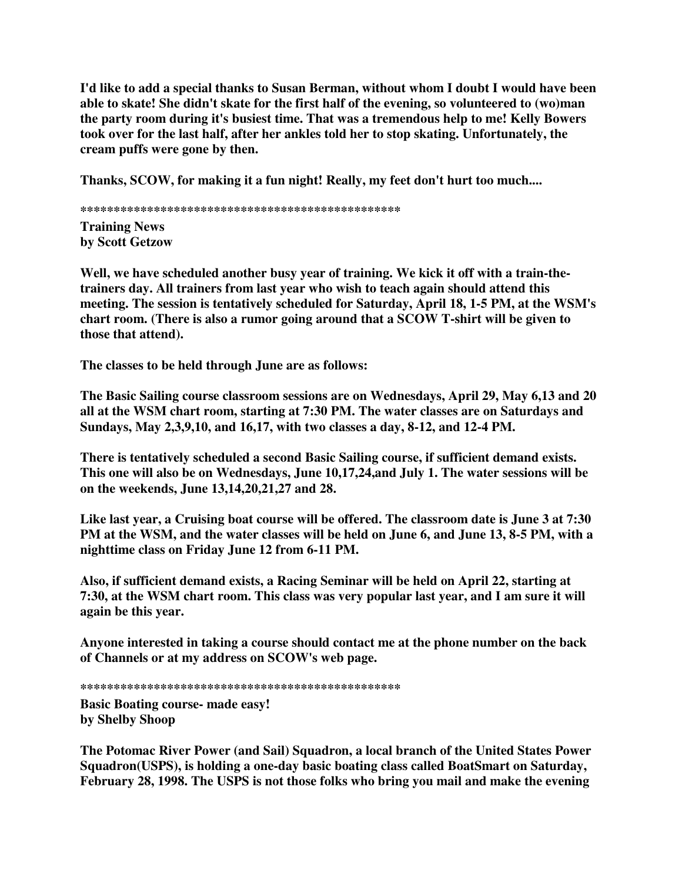**I'd like to add a special thanks to Susan Berman, without whom I doubt I would have been able to skate! She didn't skate for the first half of the evening, so volunteered to (wo)man the party room during it's busiest time. That was a tremendous help to me! Kelly Bowers took over for the last half, after her ankles told her to stop skating. Unfortunately, the cream puffs were gone by then.**

**Thanks, SCOW, for making it a fun night! Really, my feet don't hurt too much....**

**\*\*\*\*\*\*\*\*\*\*\*\*\*\*\*\*\*\*\*\*\*\*\*\*\*\*\*\*\*\*\*\*\*\*\*\*\*\*\*\*\*\*\*\*\*\*\*\* Training News by Scott Getzow**

**Well, we have scheduled another busy year of training. We kick it off with a train-thetrainers day. All trainers from last year who wish to teach again should attend this meeting. The session is tentatively scheduled for Saturday, April 18, 1-5 PM, at the WSM's chart room. (There is also a rumor going around that a SCOW T-shirt will be given to those that attend).**

**The classes to be held through June are as follows:**

**The Basic Sailing course classroom sessions are on Wednesdays, April 29, May 6,13 and 20 all at the WSM chart room, starting at 7:30 PM. The water classes are on Saturdays and Sundays, May 2,3,9,10, and 16,17, with two classes a day, 8-12, and 12-4 PM.**

**There is tentatively scheduled a second Basic Sailing course, if sufficient demand exists. This one will also be on Wednesdays, June 10,17,24,and July 1. The water sessions will be on the weekends, June 13,14,20,21,27 and 28.**

**Like last year, a Cruising boat course will be offered. The classroom date is June 3 at 7:30** PM at the WSM, and the water classes will be held on June 6, and June 13, 8-5 PM, with a **nighttime class on Friday June 12 from 6-11 PM.**

**Also, if sufficient demand exists, a Racing Seminar will be held on April 22, starting at 7:30, at the WSM chart room. This class was very popular last year, and I am sure it will again be this year.**

**Anyone interested in taking a course should contact me at the phone number on the back of Channels or at my address on SCOW's web page.**

**\*\*\*\*\*\*\*\*\*\*\*\*\*\*\*\*\*\*\*\*\*\*\*\*\*\*\*\*\*\*\*\*\*\*\*\*\*\*\*\*\*\*\*\*\*\*\*\***

**Basic Boating course- made easy! by Shelby Shoop**

**The Potomac River Power (and Sail) Squadron, a local branch of the United States Power Squadron(USPS), is holding a one-day basic boating class called BoatSmart on Saturday, February 28, 1998. The USPS is not those folks who bring you mail and make the evening**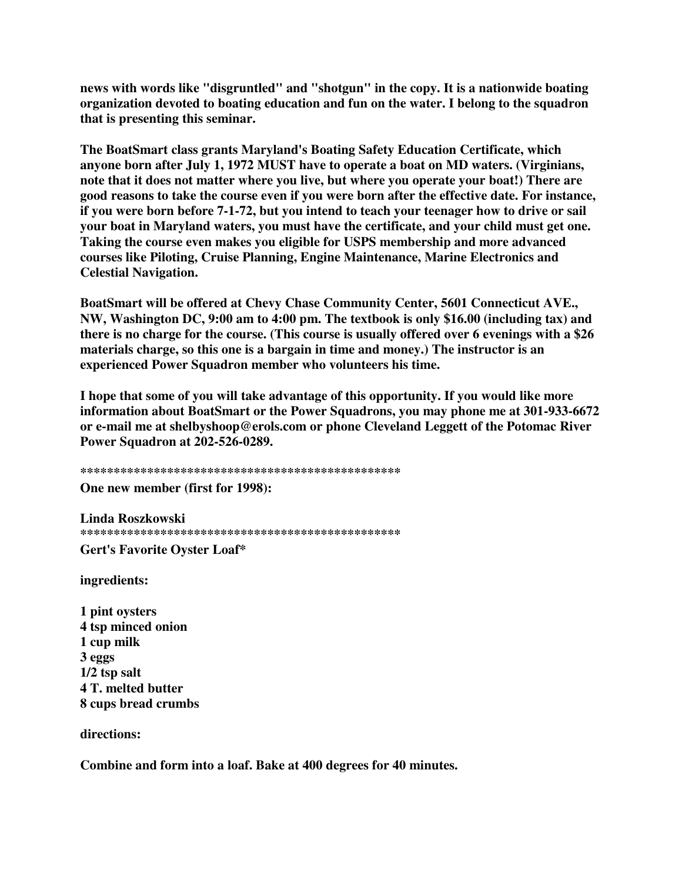news with words like "disgruntled" and "shotgun" in the copy. It is a nationwide boating organization devoted to boating education and fun on the water. I belong to the squadron that is presenting this seminar.

The BoatSmart class grants Maryland's Boating Safety Education Certificate, which anyone born after July 1, 1972 MUST have to operate a boat on MD waters. (Virginians, note that it does not matter where you live, but where you operate your boat!) There are good reasons to take the course even if you were born after the effective date. For instance, if you were born before 7-1-72, but you intend to teach your teenager how to drive or sail your boat in Maryland waters, you must have the certificate, and your child must get one. Taking the course even makes you eligible for USPS membership and more advanced courses like Piloting, Cruise Planning, Engine Maintenance, Marine Electronics and **Celestial Navigation.** 

BoatSmart will be offered at Chevy Chase Community Center, 5601 Connecticut AVE., NW, Washington DC, 9:00 am to 4:00 pm. The textbook is only \$16.00 (including tax) and there is no charge for the course. (This course is usually offered over 6 evenings with a \$26 materials charge, so this one is a bargain in time and money.) The instructor is an experienced Power Squadron member who volunteers his time.

I hope that some of you will take advantage of this opportunity. If you would like more information about BoatSmart or the Power Squadrons, you may phone me at 301-933-6672 or e-mail me at shelbyshoop@erols.com or phone Cleveland Leggett of the Potomac River Power Squadron at 202-526-0289.

One new member (first for 1998):

Linda Roszkowski 

Gert's Favorite Oyster Loaf\*

ingredients:

1 pint oysters 4 tsp minced onion 1 cup milk 3 eggs  $1/2$  tsp salt 4 T. melted butter 8 cups bread crumbs

directions:

Combine and form into a loaf. Bake at 400 degrees for 40 minutes.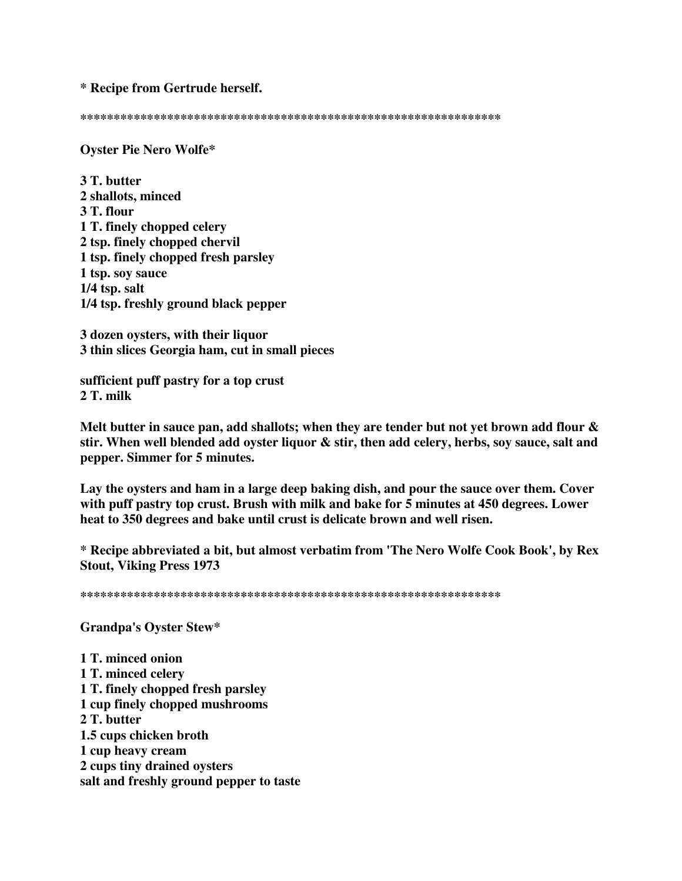\* Recipe from Gertrude herself.

**Oyster Pie Nero Wolfe\*** 

3 T. butter 2 shallots, minced 3 T. flour 1 T. finely chopped celery 2 tsp. finely chopped chervil 1 tsp. finely chopped fresh parsley 1 tsp. soy sauce  $1/4$  tsp. salt 1/4 tsp. freshly ground black pepper

3 dozen oysters, with their liquor 3 thin slices Georgia ham, cut in small pieces

sufficient puff pastry for a top crust  $2T.$  milk

Melt butter in sauce pan, add shallots; when they are tender but not yet brown add flour  $\&$ stir. When well blended add oyster liquor & stir, then add celery, herbs, soy sauce, salt and pepper. Simmer for 5 minutes.

Lay the oysters and ham in a large deep baking dish, and pour the sauce over them. Cover with puff pastry top crust. Brush with milk and bake for 5 minutes at 450 degrees. Lower heat to 350 degrees and bake until crust is delicate brown and well risen.

\* Recipe abbreviated a bit, but almost verbatim from 'The Nero Wolfe Cook Book', by Rex **Stout, Viking Press 1973** 

**Grandpa's Ovster Stew\*** 

1 T. minced onion 1 T. minced celery 1 T. finely chopped fresh parsley 1 cup finely chopped mushrooms 2 T. butter 1.5 cups chicken broth 1 cup heavy cream 2 cups tiny drained oysters salt and freshly ground pepper to taste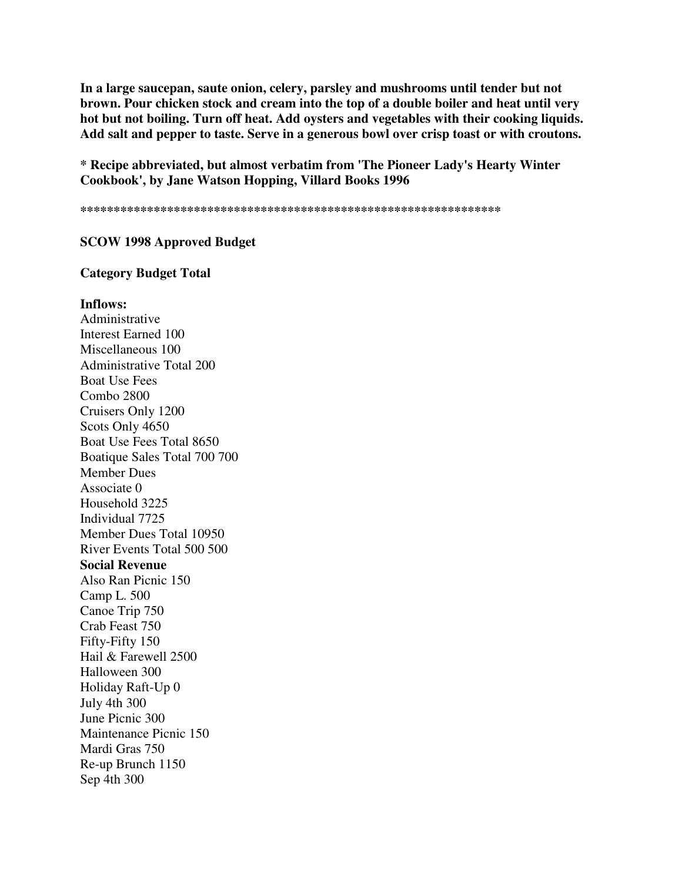**In a large saucepan, saute onion, celery, parsley and mushrooms until tender but not brown. Pour chicken stock and cream into the top of a double boiler and heat until very hot but not boiling. Turn off heat. Add oysters and vegetables with their cooking liquids. Add salt and pepper to taste. Serve in a generous bowl over crisp toast or with croutons.**

**\* Recipe abbreviated, but almost verbatim from 'The Pioneer Lady's Hearty Winter Cookbook', by Jane Watson Hopping, Villard Books 1996**

**\*\*\*\*\*\*\*\*\*\*\*\*\*\*\*\*\*\*\*\*\*\*\*\*\*\*\*\*\*\*\*\*\*\*\*\*\*\*\*\*\*\*\*\*\*\*\*\*\*\*\*\*\*\*\*\*\*\*\*\*\*\*\***

#### **SCOW 1998 Approved Budget**

#### **Category Budget Total**

#### **Inflows:**

Administrative Interest Earned 100 Miscellaneous 100 Administrative Total 200 Boat Use Fees Combo 2800 Cruisers Only 1200 Scots Only 4650 Boat Use Fees Total 8650 Boatique Sales Total 700 700 Member Dues Associate 0 Household 3225 Individual 7725 Member Dues Total 10950 River Events Total 500 500 **Social Revenue** Also Ran Picnic 150 Camp L. 500 Canoe Trip 750 Crab Feast 750 Fifty-Fifty 150 Hail & Farewell 2500 Halloween 300 Holiday Raft-Up 0 July 4th 300 June Picnic 300 Maintenance Picnic 150 Mardi Gras 750 Re-up Brunch 1150 Sep 4th 300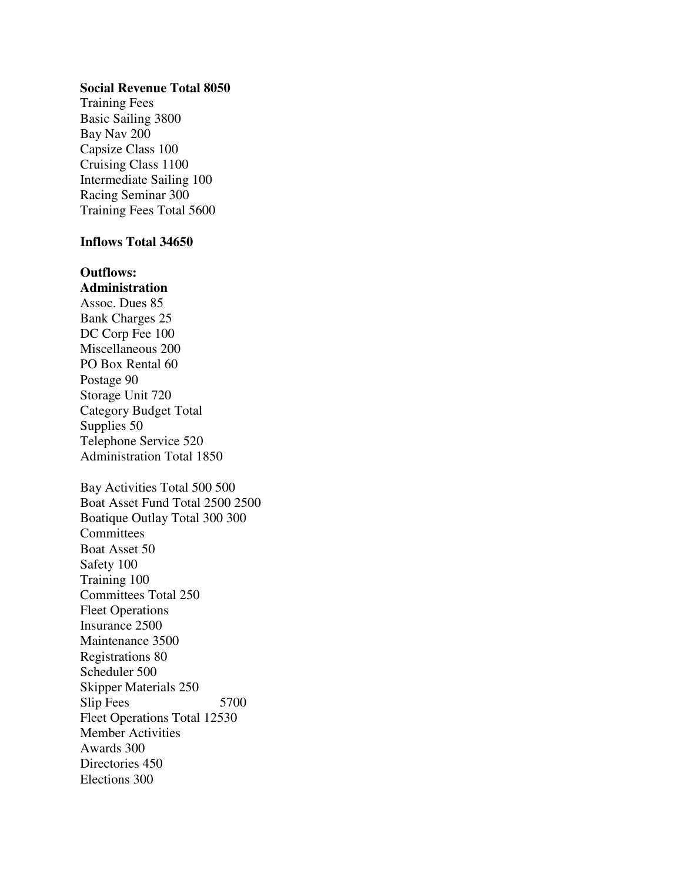## **Social Revenue Total 8050**

Training Fees Basic Sailing 3800 Bay Nav 200 Capsize Class 100 Cruising Class 1100 Intermediate Sailing 100 Racing Seminar 300 Training Fees Total 5600

## **Inflows Total 34650**

**Outflows: Administration** Assoc. Dues 85 Bank Charges 25 DC Corp Fee 100 Miscellaneous 200 PO Box Rental 60 Postage 90 Storage Unit 720 Category Budget Total Supplies 50 Telephone Service 520 Administration Total 1850 Bay Activities Total 500 500 Boat Asset Fund Total 2500 2500 Boatique Outlay Total 300 300 **Committees** Boat Asset 50 Safety 100 Training 100 Committees Total 250 Fleet Operations Insurance 2500 Maintenance 3500 Registrations 80 Scheduler 500 Skipper Materials 250 Slip Fees 5700 Fleet Operations Total 12530 Member Activities Awards 300 Directories 450 Elections 300